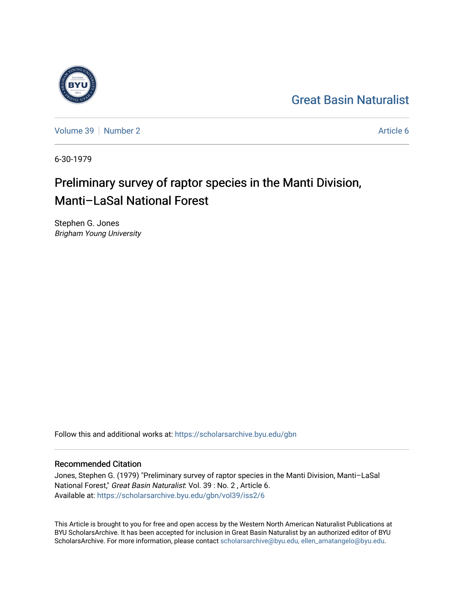## [Great Basin Naturalist](https://scholarsarchive.byu.edu/gbn)

[Volume 39](https://scholarsarchive.byu.edu/gbn/vol39) [Number 2](https://scholarsarchive.byu.edu/gbn/vol39/iss2) Article 6

6-30-1979

# Preliminary survey of raptor species in the Manti Division, Manti–LaSal National Forest

Stephen G. Jones Brigham Young University

Follow this and additional works at: [https://scholarsarchive.byu.edu/gbn](https://scholarsarchive.byu.edu/gbn?utm_source=scholarsarchive.byu.edu%2Fgbn%2Fvol39%2Fiss2%2F6&utm_medium=PDF&utm_campaign=PDFCoverPages) 

### Recommended Citation

Jones, Stephen G. (1979) "Preliminary survey of raptor species in the Manti Division, Manti–LaSal National Forest," Great Basin Naturalist: Vol. 39 : No. 2 , Article 6. Available at: [https://scholarsarchive.byu.edu/gbn/vol39/iss2/6](https://scholarsarchive.byu.edu/gbn/vol39/iss2/6?utm_source=scholarsarchive.byu.edu%2Fgbn%2Fvol39%2Fiss2%2F6&utm_medium=PDF&utm_campaign=PDFCoverPages)

This Article is brought to you for free and open access by the Western North American Naturalist Publications at BYU ScholarsArchive. It has been accepted for inclusion in Great Basin Naturalist by an authorized editor of BYU ScholarsArchive. For more information, please contact [scholarsarchive@byu.edu, ellen\\_amatangelo@byu.edu.](mailto:scholarsarchive@byu.edu,%20ellen_amatangelo@byu.edu)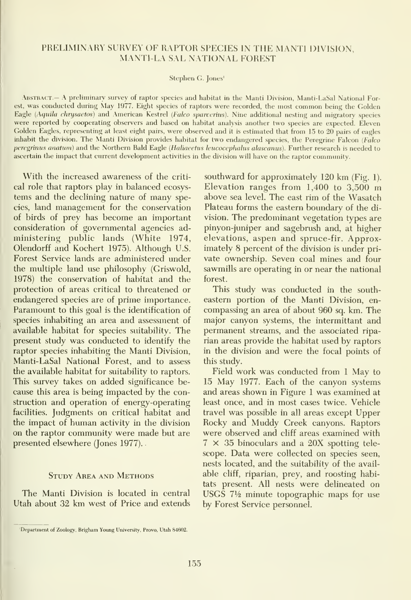#### PRELIMINARY SURVEY OF RAPTOR SPECIES IN THE MANTI DIVISION, MANTI-LA SAL NATIONAL FOREST

Stephen C. Jones'

Abstract.— A preliminary survey of raptor species and habitat in the Manti Division, Manti-LaSal National Forest, was condvicted during May 1977. Eight species of raptors were recorded, the most common being the Golden Eagle (Aquila chrysaetos) and American Kestrel (Falco sparverius). Nine additional nesting and migratory species were reported by cooperating observers and based on habitat analysis another two species are expected. Eleven Golden Eagles, representing at least eight pairs, were observed and it is estimated that from 15 to 20 pairs of eagles inhabit the division. The Manti Division provides habitat for two endangered species, the Peregrine Falcon (Falco peregrinus anatum) and the Northern Bald Eagle (Haliaeetus leucocephalus alascanus). Further research is needed to ascertain the impact that current development activities in the division will have on the raptor community.

With the increased awareness of the criti cal role that raptors play in balanced ecosys tems and the declining nature of many species, land management for the conservation of birds of prey has become an important consideration of governmental agencies ad ministering public lands (White 1974, Olendorff and Kochert 1975). Although U.S. Forest Service lands are administered under the multiple land use philosophy (Griswold, 1978) the conservation of habitat and the protection of areas critical to threatened or endangered species are of prime importance. Paramount to this goal is the identification of species inhabiting an area and assessment of available habitat for species suitability. The present study was conducted to identify the raptor species inhabiting the Manti Division, Manti-LaSal National Forest, and to assess the available habitat for suitability to raptors. This survey takes on added significance be cause this area isbeing impacted by the construction and operation of energy-operating facilities. Judgments on critical habitat and the impact of human activity in the division on the raptor community were made but are presented elsewhere (Jones 1977).

#### Study Area and Methods

The Manti Division is located in central Utah about 32 km west of Price and extends

southward for approximately 120 km (Fig. 1). Elevation ranges from 1,400 to 3,500 m above sea level. The east rim of the Wasatch Plateau forms the eastern boundary of the di vision. The predominant vegetation types are pinyon-juniper and sagebrush and, at higher elevations, aspen and spruce-fir. Approximately 8 percent of the division is under pri vate ownership. Seven coal mines and four sawmills are operating in or near the national forest.

This study was conducted in the south eastern portion of the Manti Division, en compassing an area of about 960 sq. km. The major canyon systems, the intermittant and permanent streams, and the associated ripa rian areas provide the habitat used by raptors in the division and were the focal points of this study.

Field work was conducted from <sup>1</sup> May to 15 May 1977. Each of the canyon systems and areas shown in Figure <sup>1</sup> was examined at least once, and in most cases twice. Vehicle travel was possible in all areas except Upper Rocky and Muddy Creek canyons. Raptors were observed and cliff areas examined with  $7 \times 35$  binoculars and a 20X spotting telescope. Data were collected on species seen, nests located, and the suitability of the avail able cliff, riparian, prey, and roosting habitats present. All nests were delineated on USGS  $7\frac{1}{2}$  minute topographic maps for use by Forest Service personnel.

<sup>&#</sup>x27;Department of Zoology, Brigham Young University, Provo, Utah 84602.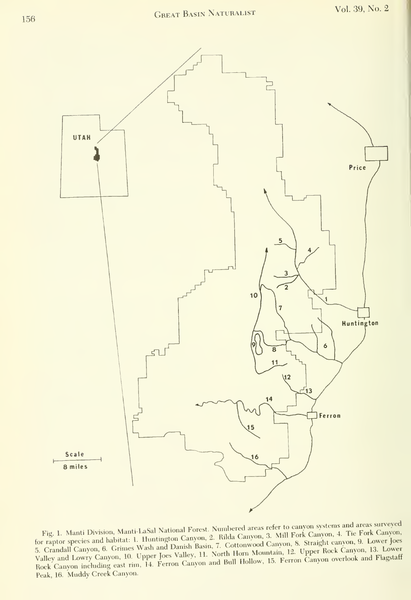

for raptor species and habitat: 1. Huntington Canyon, 2. Rilda Canyon, 3. Mill Fork Canyon, 4. Tie Fork Canyon, 5. Crandall Canyon, 6. Grimes Wash and Danish Basin, 7. Cottomwood Canyon, 8. Straight canyon, 9. Lower Joes V to canyon systems and areas surveyed<br>ill Fork Canyon, 4. Tie Fork Canyon, for raptor species and habitat: 1. Huntington Canyon, 2. Kilda Canyon, 9. Stanght Canyon, 9. Lower Joes<br>5. Crandall Canyon, 6. Grimes Wash and Danish Basin, 7. Cottonwood Canyon, 8. Straight canyon, 13. Lower Rock Canyon including east rim, 14. Ferron Canyon and Bull Hollow, 15. Ferron Canyon overlook and Flagstaff Peak, 16. Muddy Creek Canyon.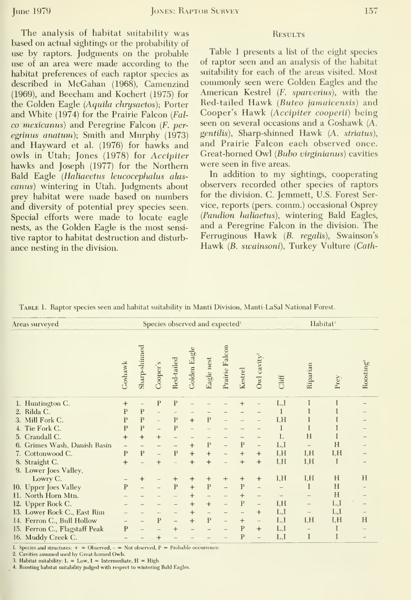The analysis of habitat suitability was based on actual sightings or the probability of use by raptors. Judgments on the probable use of an area were made according to the habitat preferences of each raptor species as described in McGahan (1968), Camenzind (1969), and Beecham and Kochert (1975) for the Golden Eagle (Aquila chrysaetos); Porter and White (1974) for the Prairie Falcon (Fal co mexicanus) and Peregrine Falcon (F. per egrinus anatum); Smith and Murphy (1973) and Hayward et al. (1976) for hawks and owls in Utah; Jones (1978) for Accipiter hawks and Joseph (1977) for the Northern Bald Eagle {Haliaeetus leucocephalus alas canus) wintering in Utah. Judgments about prey habitat were made based on numbers and diversity of potential prey species seen. Special efforts were made to locate eagle nests, as the Golden Eagle is the most sensitive raptor to habitat destruction and disturb ance nesting in the division.

#### **RESULTS**

Table 1 presents a list of the eight species of raptor seen and an analysis of the habitat suitability for each of the areas visited. Most commonly seen were Golden Eagles and the American Kestrel (F. sparverius), with the Red-tailed Hawk {Buteo jamaicensis) and Cooper's Hawk {Accipiter cooperii) being seen on several occasions and a Goshawk (A. gentilis). Sharp-shinned Hawk (A. striatus), and Prairie Falcon each observed once. Great-horned Owl {Bubo virginianns) cavities were seen in five areas.

In addition to my sightings, cooperating observers recorded other species of raptors for the division. C. Jemmett, U.S. Forest Service, reports (pers. comm.) occasional Osprey (Pandion haliaetus), wintering Bald Eagles, and a Peregrine Falcon in the division. The Ferruginous Hawk {B. regalis), Swainson's Hawk (B. swainsoni), Turkey Vulture (Cath-

| TABLE 1. Raptor species seen and habitat suitability in Manti Division, Manti-LaSal National Forest. |  |
|------------------------------------------------------------------------------------------------------|--|
|------------------------------------------------------------------------------------------------------|--|

| Areas surveyed                |              | Species observed and expected <sup>1</sup> |                |                |              |                          |                |                |                          |                   | Habitat <sup>3</sup> |      |          |
|-------------------------------|--------------|--------------------------------------------|----------------|----------------|--------------|--------------------------|----------------|----------------|--------------------------|-------------------|----------------------|------|----------|
|                               | Goshawk      | Sharp-shinned                              | Cooper's       | Red-tailed     | Golden Eagle | Eagle nest               | Prairie Falcon | Kestrel        | Owl cavity <sup>2</sup>  | Cliff             | Riparian             | Prey | Roosting |
| 1. Huntington C.              | $\ddot{}$    | $\overline{\phantom{a}}$                   | $\overline{P}$ | $\overline{P}$ |              |                          |                | $^{+}$         |                          | L,I               | I                    | Ĭ    |          |
| Rilda C.<br>2.                | P            | $\mathbf{P}$                               |                |                |              |                          |                |                |                          |                   |                      |      |          |
| 3. Mill Fork C.               | P            | $\overline{P}$                             |                | $\mathbf{P}$   | $+$          | $\overline{P}$           |                |                |                          | I.H               |                      |      |          |
| 4. Tie Fork C.                | P            | $\mathbf{P}$                               |                | $\overline{P}$ |              |                          |                |                |                          |                   |                      |      |          |
| 5. Crandall C.                | $\ddot{}$    | $\ddot{}$                                  | $+$            |                |              |                          |                |                |                          | L                 | H                    |      |          |
| 6. Grimes Wash, Danish Basin  |              |                                            |                |                | $+$          | $\overline{P}$           |                | P              | $\frac{1}{2}$            | L,I               |                      | H    |          |
| 7. Cottonwood C.              | P            | $\mathbf{P}$                               |                | $\mathbf{P}$   | $^{+}$       | $^{+}$                   |                | $\ddot{}$      | $+$                      | I.H               | I, H                 | I, H |          |
| 8. Straight C.                | $^{+}$       |                                            | $^{+}$         |                | $^{+}$       | $\ddot{}$                |                | $+$            | $^{+}$                   | I.H               | I.H                  | I    |          |
| 9. Lower Joes Valley,         |              |                                            |                |                |              |                          |                |                |                          |                   |                      |      |          |
| Lowry C.                      |              | $^{+}$                                     |                | $^{+}$         | $^{+}$       | $^{+}$                   | $+$            | $+$            | $+$                      | I, H              | I, H                 | H    | H        |
| 10. Upper Joes Valley         | P            |                                            |                | $\overline{P}$ | $+$          | $\overline{P}$           |                | $\overline{P}$ | $\overline{\phantom{0}}$ |                   | I                    | H    |          |
| 11. North Horn Mtn.           |              |                                            |                |                | $\ddot{}$    | -                        |                | $\ddot{}$      |                          | $\qquad \qquad -$ |                      | H    |          |
| 12. Upper Rock C.             |              |                                            |                |                | $+$          | $+$                      |                | $\mathbf{P}$   | $\overline{\phantom{0}}$ | I,H               | $\qquad \qquad$      | L,I  |          |
| 13. Lower Rock C., East Rim   |              |                                            |                |                | $+$          | $\overline{\phantom{0}}$ |                |                | $+$                      | L, I              | $\qquad \qquad -$    | L,I  |          |
| 14. Ferron C., Bull Hollow    |              |                                            | $\overline{P}$ | $\overline{a}$ | $+$          | $\mathbf{P}$             | $\overline{a}$ | $^{+}$         | $\qquad \qquad -$        | L, I              | I, H                 | I, H | H        |
| 15. Ferron C., Flagstaff Peak | $\mathbf{P}$ |                                            |                | $^{+}$         |              |                          |                | P              | $^{+}$                   | L, I              |                      | I    |          |
| 16. Muddy Creek C.            |              |                                            | $+$            |                |              |                          |                | P              | $\sim$                   | L,I               | I                    | I    |          |

I. Species and structures:  $+$  = Observed, - = Not observed, P = Probable occurrence.

2. Cavities assumed used by Great-horned Owls

3. Habitat suitability: L = Low, I = Intermediate, H = High

4. Roosting habitat suitability judged with respect to wintering Bald Eagles.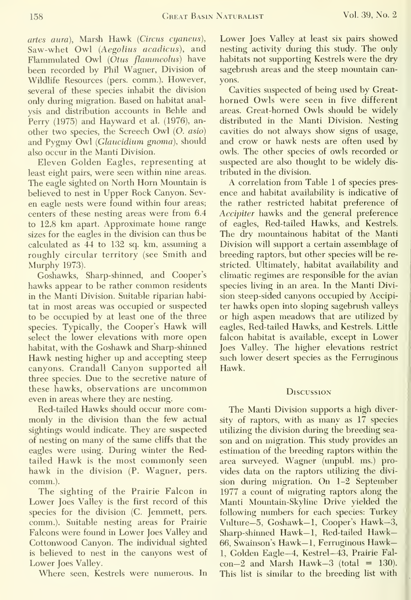158 Great Basin Naturalist Vol. 39, No. 2

artes aura). Marsh Hawk {Circus cyaneus). Saw-whet Owl (Aegolius acadicus), and Flammulated Owl (Otus flammeolus) have been recorded by Phil Wagner, Division of Wildlife Resources (pers. comm.). However, several of these species inhabit the division only during migration. Based on habitat analysis and distribution accounts in Behle and Perry (1975) and Hayward et al. (1976), an other two species, the Screech Owl (O. asio) and Pygmy Owl (Glaucidium gnoma), should also occur in the Manti Division.

Eleven Golden Eagles, representing at least eight pairs, were seen within nine areas. The eagle sighted on North Horn Mountain is believed to nest in Upper Rock Canyon. Sev en eagle nests were found within four areas; centers of these nesting areas were from 6.4 to 12.8 km apart. Approximate home range sizes for the eagles in the division can thus be calculated as 44 to 132 sq. km, assuming a roughly circular territory (see Smith and Murphy 1973).

Goshawks, Sharp-shinned, and Cooper's hawks appear to be rather common residents in the Manti Division. Suitable riparian habitat in most areas was occupied or suspected to be occupied by at least one of the three species. Typically, the Cooper's Hawk will select the lower elevations with more open habitat, with the Goshawk and Sharp-shinned Hawk nesting higher up and accepting steep canyons. Crandall Canyon supported all three species. Due to the secretive nature of these hawks, observations are uncommon even in areas where they are nesting.

Red-tailed Hawks should occur more commonly in the division than the few actual sightings would indicate. They are suspected of nesting on many of the same cliffs that the eagles were using. During winter the Redtailed Hawk is the most commonly seen hawk in the division (P. Wagner, pers. comm.).

The sighting of the Prairie Falcon in Lower Joes Valley is the first record of this species for the division (C. Jemmett, pers. comm.). Suitable nesting areas for Prairie Falcons were found in Lower Joes Valley and Cottonwood Canyon. The individual sighted is believed to nest in the canyons west of Lower Joes Valley.

Where seen, Kestrels were numerous. In

Lower Joes Valley at least six pairs showed nesting activity during this study. The only habitats not supporting Kestrels were the dry sagebrush areas and the steep mountain canyons.

Cavities suspected of being used by Great horned Owls were seen in five different areas. Great-horned Owls should be widely distributed in the Manti Division. Nesting cavities do not always show signs of usage, and crow or hawk nests are often used by owls. The other species of owls recorded or suspected are also thought to be widely dis tributed in the division.

A correlation from Table <sup>1</sup> of species pres ence and habitat availability is indicative of the rather restricted habitat preference of Accipiter hawks and the general preference of eagles, Red-tailed Hawks, and Kestrels. The dry mountainous habitat of the Manti Division will support a certain assemblage of breeding raptors, but other species will be re stricted. Ultimately, habitat availability and climatic regimes are responsible for the avian species living in an area. In the Manti Division steep-sided canyons occupied by Accipiter hawks open into sloping sagebrush valleys or high aspen meadows that are utilized by eagles, Red-tailed Hawks, and Kestrels. Little falcon habitat is available, except in Lower Joes Valley. The higher elevations restrict such lower desert species as the Ferruginous Hawk.

#### Discussion

The Manti Division supports a high diversity of raptors, with as many as 17 species utilizing the division during the breeding sea son and on migration. This study provides an estimation of the breeding raptors within the area surveyed. Wagner (unpubl. ms.) provides data on the raptors utilizing the divi sion during migration. On 1-2 September 1977 a count of migrating raptors along the Manti Mountain-Skyline Drive yielded the following numbers for each species: Turkey Vulture–5, Goshawk–1, Cooper's Hawk–3, Sharp-shinned Hawk—1, Red-tailed Hawk— 66, Swainson's Hawk— 1, Ferruginous Hawk— 1, Golden Eagle-4, Kestrel-43, Prairie Fal  $con-2$  and Marsh Hawk-3 (total = 130). This list is similar to the breeding list with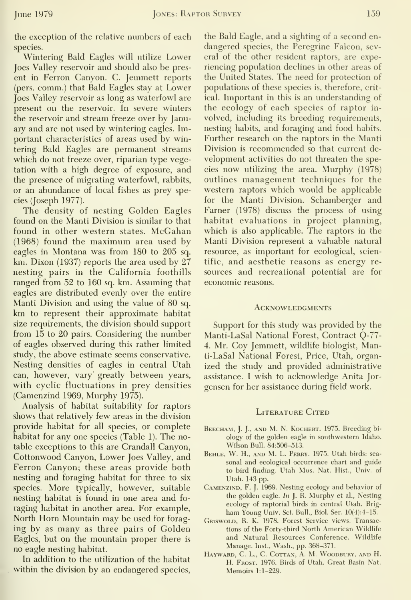the exception of the relative numbers of each species.

Wintering Bald Eagles will utilize Lower Joes Valley reservoir and should also be pres ent in Perron Canyon. C. Jemmett reports (pers. comm.) that Bald Eagles stay at Lower Joes Valley reservoir as long as waterfowl are present on the reservoir. In severe winters the reservoir and stream freeze over by January and are not used by wintering eagles. Important characteristics of areas used by wintering Bald Eagles are permanent streams which do not freeze over, riparian type vegetation with a high degree of exposure, and the presence of migrating waterfowl, rabbits, or an abundance of local fishes as prey species (Joseph 1977).

The density of nesting Golden Eagles found on the Manti Division is similar to that found in other western states. McGahan (1968) found the maximum area used by eagles in Montana was from 180 to 205 sq. km. Dixon (1937) reports the area used by 27 nesting pairs in the California foothills ranged from 52 to 160 sq. km. Assuming that eagles are distributed evenly over the entire Manti Division and using the value of 80 sq. km to represent their approximate habitat size requirements, the division should support from 15 to 20 pairs. Considering the number of eagles observed during this rather limited study, the above estimate seems conservative. Nesting densities of eagles in central Utah can, however, vary greatly between years, with cyclic fluctuations in prey densities (Camenzind 1969, Murphy 1975).

Analysis of habitat suitability for raptors shows that relatively few areas in the division provide habitat for all species, or complete habitat for any one species (Table 1). The notable exceptions to this are Crandall Canyon, Cottonwood Canyon, Lower Joes Valley, and Ferron Canyon; these areas provide both nesting and foraging habitat for three to six species. More typically, however, suitable nesting habitat is found in one area and fo raging habitat in another area. For example. North Horn Mountain may be used for forag ing by as many as three pairs of Golden Eagles, but on the mountain proper there is no eagle nesting habitat.

In addition to the utilization of the habitat within the division by an endangered species.

the Bald Eagle, and a sighting of a second en dangered species, the Peregrine Falcon, several of the other resident raptors, are experiencing population declines in other areas of the United States. The need for protection of populations of these species is, therefore, critical. Important in this is an understanding of the ecology of each species of raptor in volved, including its breeding requirements, nesting habits, and foraging and food habits. Further research on the raptors in the Manti Division is recommended so that current de velopment activities do not threaten the species now utilizing the area. Murphy (1978) outlines management techniques for the western raptors which would be applicable for the Manti Division. Schamberger and Earner (1978) discuss the process of using habitat evaluations in project planning, which is also applicable. The raptors in the Manti Division represent a valuable natural resource, as important for ecological, scientific, and aesthetic reasons as energy re sources and recreational potential are for economic reasons.

#### **ACKNOWLEDGMENTS**

Support for this study was provided by the Manti-LaSal National Forest, Contract Q-77- 4. Mr. Coy Jemmett, wildlife biologist, Manti-LaSal National Forest, Price, Utah, organized the study and provided administrative assistance. <sup>I</sup> wish to acknowledge Anita Jor gensen for her assistance during field work.

#### LITERATURE CITED

- BEECHAM, J. J., AND M. N. KOCHERT. 1975. Breeding biology of the golden eagle in southwestern Idaho. Wilson Bull. 84:506-513.
- Behle, W. H., and M. L. Perry. 1975. Utah birds: sea sonal and ecological occurrence chart and guide to bird finding. Utah Mus. Nat. Hist., Univ. of Utah. 143 pp.
- Camenzind, F. J. 1969. Nesting ecology and behavior of the golden eagle.  $In$  J. R. Murphy et al., Nesting ecology of raptorial birds in central Utah. Brig ham Young Univ. Sci. Bull., Biol. Ser. 10(4):4-15.
- Griswold, R. K. 1978. Forest Service views. Transactions of the Forty-third North American Wildlife and Natural Resources Conference. Wildlife Manage. Inst., Wash., pp. 368-371.
- HAYWARD, C. L., C. COTTAN, A. M. WOODBURY, AND H. H. Frost. 1976. Birds of Utah. Great Basin Nat. Memoirs 1:1-229.